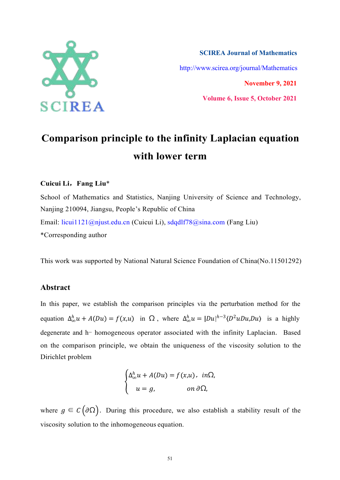

**SCIREA Journal of Mathematics** http://www.scirea.org/journal/Mathematics **November 9, 2021**

**Volume 6, Issue 5, October 2021**

**Comparison principle to the infinity Laplacian equation with lower term**

### **Cuicui Li**,**Fang Liu**\*

School of Mathematics and Statistics, Nanjing University of Science and Technology, Nanjing 210094, Jiangsu, People's Republic of China Email: licui1121@njust.edu.cn (Cuicui Li), sdqdlf78@sina.com (Fang Liu) \*Corresponding author

This work was supported by National Natural Science Foundation of China(No.11501292)

# **Abstract**

In this paper, we establish the comparison principles via the perturbation method for the equation  $\Delta_{\infty}^h u + A(Du) = f(x, u)$  in  $\Omega$ , where  $\Delta_{\infty}^h u = |Du|^{h-3} \langle D^2 u Du, Du \rangle$  is a highly degenerate and h- homogeneous operator associated with the infinity Laplacian. Based on the comparison principle, we obtain the uniqueness of the viscosity solution to the Dirichlet problem

$$
\begin{cases} \Delta_{\infty}^{h} u + A(Du) = f(x,u), & in \Omega, \\ u = g, & on \ \partial \Omega, \end{cases}
$$

where  $g \in C(\partial\Omega)$ . During this procedure, we also establish a stability result of the viscosity solution to the inhomogeneous equation.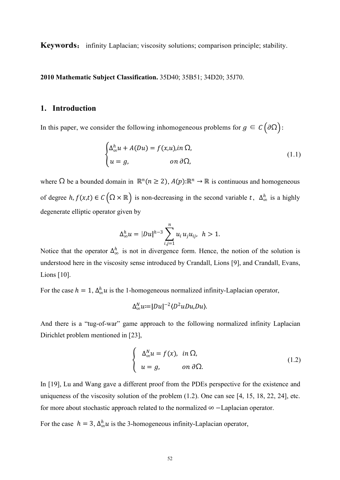**Keywords**: infinity Laplacian; viscosity solutions; comparison principle; stability.

**2010 Mathematic Subject Classification.** 35D40; 35B51; 34D20; 35J70.

## **1. Introduction**

In this paper, we consider the following inhomogeneous problems for  $g \in C(\partial \Omega)$ :

$$
\begin{cases} \Delta_{\infty}^{h} u + A(Du) = f(x, u), in \Omega, \\ u = g, \qquad \text{on } \partial \Omega, \end{cases}
$$
 (1.1)

where  $\Omega$  be a bounded domain in  $\mathbb{R}^n$  ( $n \ge 2$ ),  $A(p):\mathbb{R}^n \to \mathbb{R}$  is continuous and homogeneous of degree  $h, f(x,t) \in C(\Omega \times \mathbb{R})$  is non-decreasing in the second variable  $t, \Delta_{\infty}^{h}$  is a highly degenerate elliptic operator given by

$$
\Delta_{\infty}^h u = |Du|^{h-3} \sum_{i,j=1}^n u_i u_j u_{ij}, \ \ h > 1.
$$

Notice that the operator  $\Delta_{\infty}^{h}$  is not in divergence form. Hence, the notion of the solution is understood here in the viscosity sense introduced by Crandall, Lions [9], and Crandall, Evans, Lions [10].

For the case  $h = 1$ ,  $\Delta_{\infty}^h u$  is the 1-homogeneous normalized infinity-Laplacian operator,

$$
\Delta_{\infty}^N u = |Du|^{-2} \langle D^2 u Du, Du \rangle.
$$

And there is a "tug-of-war" game approach to the following normalized infinity Laplacian Dirichlet problem mentioned in [23],

$$
\begin{cases}\n\Delta_{\infty}^{N} u = f(x), & in \Omega, \\
u = g, & on \partial \Omega.\n\end{cases}
$$
\n(1.2)

In [19], Lu and Wang gave a different proof from the PDEs perspective for the existence and uniqueness of the viscosity solution of the problem  $(1.2)$ . One can see [4, 15, 18, 22, 24], etc. for more about stochastic approach related to the normalized  $\infty$  -Laplacian operator.

For the case  $h = 3$ ,  $\Delta_{\infty}^h u$  is the 3-homogeneous infinity-Laplacian operator,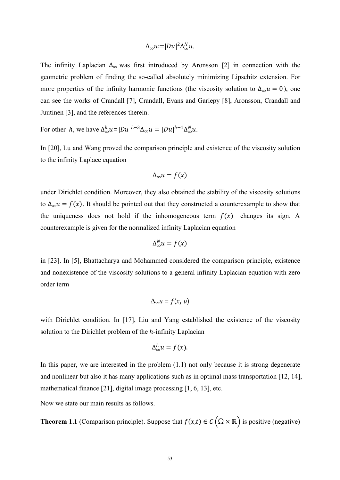$$
\Delta_{\infty}u:=|Du|^2\Delta_{\infty}^N u.
$$

The infinity Laplacian  $\Delta_{\infty}$  was first introduced by Aronsson [2] in connection with the geometric problem of finding the so-called absolutely minimizing Lipschitz extension. For more properties of the infinity harmonic functions (the viscosity solution to  $\Delta_{\infty} u = 0$ ), one can see the works of Crandall [7], Crandall, Evans and Gariepy [8], Aronsson, Crandall and Juutinen [3], and the references therein.

For other h, we have  $\Delta_{\infty}^h u = |Du|^{h-3}\Delta_{\infty} u = |Du|^{h-1}\Delta_{\infty}^N u$ .

In [20], Lu and Wang proved the comparison principle and existence of the viscosity solution to the infinity Laplace equation

$$
\Delta_{\infty}u=f(x)
$$

under Dirichlet condition. Moreover, they also obtained the stability of the viscosity solutions to  $\Delta_{\infty} u = f(x)$ . It should be pointed out that they constructed a counterexample to show that the uniqueness does not hold if the inhomogeneous term  $f(x)$  changes its sign. A counterexample is given for the normalized infinity Laplacian equation

$$
\Delta_{\infty}^N u = f(x)
$$

in [23]. In [5], Bhattacharya and Mohammed considered the comparison principle, existence and nonexistence of the viscosity solutions to a general infinity Laplacian equation with zero order term

$$
\Delta_{\infty}u=f(x, u)
$$

with Dirichlet condition. In [17], Liu and Yang established the existence of the viscosity solution to the Dirichlet problem of the  $h$ -infinity Laplacian

$$
\Delta_{\infty}^h u = f(x).
$$

In this paper, we are interested in the problem (1.1) not only because it is strong degenerate and nonlinear but also it has many applications such as in optimal mass transportation [12, 14], mathematical finance [21], digital image processing [1, 6, 13], etc.

Now we state our main results as follows.

**Theorem 1.1** (Comparison principle). Suppose that  $f(x,t) \in C(\Omega \times \mathbb{R})$  is positive (negative)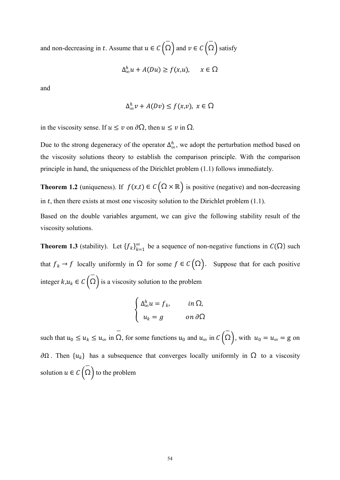and non-decreasing in t. Assume that  $u\in\mathcal{C}\left(\Omega\right)$  and  $v\in\mathcal{C}\left(\Omega\right)$  satisfy

$$
\Delta_{\infty}^h u + A(Du) \ge f(x, u), \quad x \in \Omega
$$

and

$$
\Delta_{\infty}^h v + A(Dv) \le f(x,v), \ x \in \Omega
$$

in the viscosity sense. If  $u \le v$  on  $\partial \Omega$ , then  $u \le v$  in  $\Omega$ .

Due to the strong degeneracy of the operator  $\Delta_{\infty}^h$ , we adopt the perturbation method based on the viscosity solutions theory to establish the comparison principle. With the comparison principle in hand, the uniqueness of the Dirichlet problem  $(1.1)$  follows immediately.

**Theorem 1.2** (uniqueness). If  $f(x,t) \in C(\Omega \times \mathbb{R})$  is positive (negative) and non-decreasing in  $t$ , then there exists at most one viscosity solution to the Dirichlet problem  $(1.1)$ .

Based on the double variables argument, we can give the following stability result of the viscosity solutions.

**Theorem 1.3** (stability). Let  ${f_k}_{k=1}^{\infty}$  be a sequence of non-negative functions in  $C(\Omega)$  such that  $f_k \to f$  locally uniformly in  $\Omega$  for some  $f \in C(\Omega)$ . Suppose that for each positive integer  $k, u_k \in C(\overline{\Omega})$  is a viscosity solution to the problem

$$
\begin{cases} \Delta_{\infty}^{h} u = f_{k}, & \text{in } \Omega, \\ u_{k} = g & \text{on } \partial \Omega \end{cases}
$$

such that  $u_0 \le u_k \le u_\infty$  in  $\Omega$ , for some functions  $u_0$  and  $u_\infty$  in  $C(\Omega)$ , with  $u_0 = u_\infty = g$  on  $\partial\Omega$ . Then  $\{u_k\}$  has a subsequence that converges locally uniformly in  $\Omega$  to a viscosity solution  $u \in C\left(\Omega\right)$  to the problem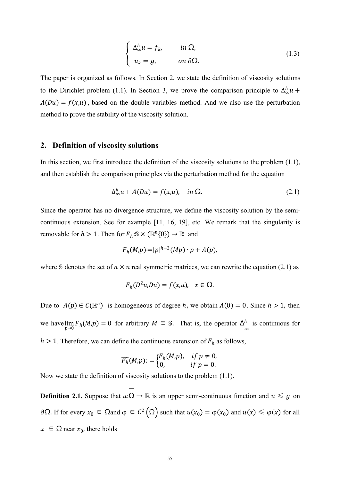$$
\begin{cases}\n\Delta_{\infty}^{h} u = f_{k}, & in \Omega, \\
u_{k} = g, & on \partial \Omega.\n\end{cases}
$$
\n(1.3)

The paper is organized as follows. In Section 2, we state the definition of viscosity solutions to the Dirichlet problem (1.1). In Section 3, we prove the comparison principle to  $\Delta_{\infty}^h u$  +  $A(Du) = f(x, u)$ , based on the double variables method. And we also use the perturbation method to prove the stability of the viscosity solution.

#### **2. Definition of viscosity solutions**

In this section, we first introduce the definition of the viscosity solutions to the problem (1.1), and then establish the comparison principles via the perturbation method for the equation

$$
\Delta_{\infty}^{h} u + A(Du) = f(x, u), \quad in \Omega.
$$
 (2.1)

Since the operator has no divergence structure, we define the viscosity solution by the semi continuous extension. See for example [11, 16,19], etc. We remark that the singularity is removable for  $h > 1$ . Then for  $F_h: S \times (\mathbb{R}^n{0}) \to \mathbb{R}$  and

$$
F_h(M,p)=|p|^{h-3}(Mp)\cdot p+A(p),
$$

where S denotes the set of  $n \times n$  real symmetric matrices, we can rewrite the equation (2.1) as

$$
F_h(D^2u, Du) = f(x, u), \quad x \in \Omega.
$$

Due to  $A(p) \in C(\mathbb{R}^n)$  is homogeneous of degree h, we obtain  $A(0) = 0$ . Since  $h > 1$ , then we have  $\lim_{p\to 0} F_h(M,p) = 0$  for arbitrary  $M \in \mathbb{S}$ . That is, the operator  $\Delta_{\infty}^h$  is continuous for  $\lambda$ <sup>h</sup> is continuous for  $h > 1$ . Therefore, we can define the continuous extension of  $F_h$  as follows,

$$
\overline{F_h}(M,p):=\begin{cases}F_h(M,p),&\text{ if }p\neq 0,\\0,&\text{ if }p=0.\end{cases}
$$

Now we state the definition of viscosity solutions to the problem (1.1).

**Definition 2.1.** Suppose that  $u:\Omega \to \mathbb{R}$  is an upper semi-continuous function and  $u \leq g$  on ∂Ω. If for every  $x_0$  ∈ Ωand  $\varphi$  ∈  $C^2(\Omega)$  such that  $u(x_0) = \varphi(x_0)$  and  $u(x) \le \varphi(x)$  for all  $x \in \Omega$  near  $x_0$ , there holds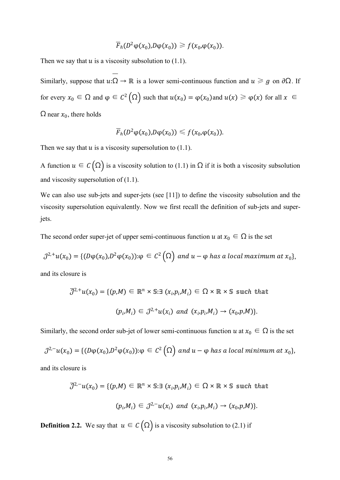$$
\overline{F}_h(D^2 \varphi(x_0), D \varphi(x_0)) \geq f(x_0, \varphi(x_0)).
$$

Then we say that  $u$  is a viscosity subsolution to  $(1.1)$ .

Similarly, suppose that  $u:\Omega \to \mathbb{R}$  is a lower semi-continuous function and  $u \ge g$  on  $\partial \Omega$ . If for every  $x_0 \in \Omega$  and  $\varphi \in C^2(\Omega)$  such that  $u(x_0) = \varphi(x_0)$  and  $u(x) \ge \varphi(x)$  for all  $x \in \Omega$  $\Omega$  near  $x_0$ , there holds

$$
\overline{F}_h(D^2 \varphi(x_0), D \varphi(x_0)) \leqslant f(x_0, \varphi(x_0)).
$$

Then we say that  $u$  is a viscosity supersolution to  $(1.1)$ .

A function  $u \in C(\Omega)$  is a viscosity solution to (1.1) in  $\Omega$  if it is both a viscosity subsolution and viscosity supersolution of (1.1).

We can also use sub-jets and super-jets (see [11]) to define the viscosity subsolution and the viscosity supersolution equivalently. Now we first recall the definition of sub-jets and superjets.

The second order super-jet of upper semi-continuous function  $u$  at  $x_0 \in \Omega$  is the set

$$
\mathcal{J}^{2,+}u(x_0)=\{(D\varphi(x_0),D^2\varphi(x_0)):\varphi\in\mathcal{C}^2(\Omega)\text{ and }u-\varphi\text{ has a local maximum at }x_0\},\
$$

and its closure is

$$
\mathcal{J}^{2,+}u(x_0) = \{(p,M) \in \mathbb{R}^n \times \mathbb{S} : \exists (x_i, p_i, M_i) \in \Omega \times \mathbb{R} \times \mathbb{S} \text{ such that}
$$
  

$$
(p_i, M_i) \in \mathcal{J}^{2,+}u(x_i) \text{ and } (x_i, p_i, M_i) \to (x_0, p, M)\}.
$$

Similarly, the second order sub-jet of lower semi-continuous function  $u$  at  $x_0 \in \Omega$  is the set

$$
\mathcal{J}^{2,-}u(x_0)=\{(D\varphi(x_0),D^2\varphi(x_0)):\varphi\in C^2(\Omega)\text{ and }u-\varphi\text{ has a local minimum at }x_0\},\
$$

and its closure is

$$
\overline{\mathcal{J}}^{2,-}u(x_0) = \{ (p,M) \in \mathbb{R}^n \times \mathbb{S} : \exists (x_i, p_i, M_i) \in \Omega \times \mathbb{R} \times \mathbb{S} \text{ such that}
$$
  

$$
(p_i, M_i) \in \mathcal{J}^{2,-}u(x_i) \text{ and } (x_i, p_i, M_i) \to (x_0, p, M).
$$

**Definition 2.2.** We say that  $u \in C(\Omega)$  is a viscosity subsolution to (2.1) if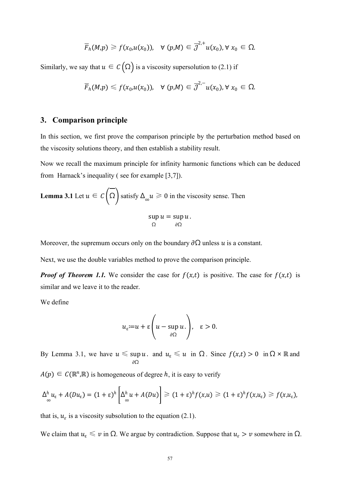$$
\overline{F}_h(M,p) \geq f(x_0,u(x_0)), \quad \forall \ (p,M) \in \overline{\mathcal{J}}^{2,+}u(x_0), \forall \ x_0 \in \Omega.
$$

Similarly, we say that  $u \in C(\Omega)$  is a viscosity supersolution to (2.1) if

$$
\overline{F}_h(M,p)\leq f(x_0,u(x_0)),\quad \forall \ (p,M)\in \overline{\mathcal{J}}^{2,-}u(x_0), \forall \ x_0\in \Omega.
$$

### **3. Comparison principle**

In this section, we first prove the comparison principle by the perturbation method based on the viscosity solutions theory, and then establish a stability result.

Now we recall the maximum principle for infinity harmonic functions which can be deduced from Harnack's inequality ( see for example [3,7]).

**Lemma 3.1** Let 
$$
u \in C(\overline{\Omega})
$$
 satisfy  $\Delta_{\infty} u \ge 0$  in the viscosity sense. Then  
\n
$$
\sup_{\Omega} u = \sup_{\partial \Omega} u.
$$

Moreover, the supremum occurs only on the boundary  $\partial\Omega$  unless u is a constant.

Next, we use the double variables method to prove the comparison principle.

*Proof of Theorem 1.1.* We consider the case for  $f(x,t)$  is positive. The case for  $f(x,t)$  is similar and we leave it to the reader.

We define

$$
u_{\varepsilon} := u + \varepsilon \left( u - \sup_{\partial \Omega} u \right), \quad \varepsilon > 0.
$$

By Lemma 3.1, we have  $u \leq \sup u$ . and  $u_{\varepsilon} \leq u$  in  $\Omega$ . Since  $f(x,t) > 0$  in  $\Omega \times \mathbb{R}$  and  $\partial\Omega$ 

 $A(p) \in C(\mathbb{R}^n, \mathbb{R})$  is homogeneous of degree h, it is easy to verify

$$
\Delta_{\infty}^{h} u_{\varepsilon} + A(Du_{\varepsilon}) = (1+\varepsilon)^{h} \left[ \Delta_{\infty}^{h} u + A(Du) \right] \geq (1+\varepsilon)^{h} f(x, u) \geq (1+\varepsilon)^{h} f(x, u_{\varepsilon}) \geq f(x, u_{\varepsilon}),
$$

that is,  $u_{\varepsilon}$  is a viscosity subsolution to the equation (2.1).

We claim that  $u_{\varepsilon} \leq v$  in  $\Omega$ . We argue by contradiction. Suppose that  $u_{\varepsilon} > v$  somewhere in  $\Omega$ .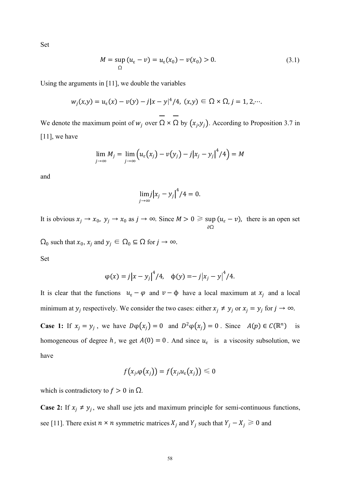Set

$$
M = \sup_{\Omega} (u_{\varepsilon} - v) = u_{\varepsilon}(x_0) - v(x_0) > 0.
$$
 (3.1)

Using the arguments in [11], we double the variables

$$
w_j(x,y) = u_{\varepsilon}(x) - v(y) - j|x - y|^4/4, \ (x,y) \in \Omega \times \Omega, j = 1, 2, \dots
$$

We denote the maximum point of  $w_j$  over  $\Omega \times \Omega$  by  $(x_j, y_j)$ . According to Proposition 3.7 in [11], we have

$$
\lim_{j\to\infty}M_j=\lim_{j\to\infty}\Big(u_{\varepsilon}\big(x_j\big)-v\big(y_j\big)-j\big|x_j-y_j\big|^4/4\Big)=M
$$

and

$$
\lim_{j\to\infty}j\big|x_j-y_j\big|^4/4=0.
$$

It is obvious  $x_j \to x_0$ ,  $y_j \to x_0$  as  $j \to \infty$ . Since  $M > 0 \ge \sup(u_\varepsilon - v)$ , there is an open set  $\partial\Omega$  $u_{\varepsilon} - v$ ), there is an open set

 $\Omega_0$  such that  $x_0, x_j$  and  $y_j \in \Omega_0 \subseteq \Omega$  for  $j \to \infty$ .

Set

$$
\varphi(x) = j|x - y_j|^4/4, \quad \varphi(y) = -j|x_j - y|^4/4.
$$

It is clear that the functions  $u_{\varepsilon} - \varphi$  and  $v - \varphi$  have a local maximum at  $x_i$  and a local minimum at  $y_j$  respectively. We consider the two cases: either  $x_j \neq y_j$  or  $x_j = y_j$  for  $j \to \infty$ .

**Case 1:** If  $x_j = y_j$ , we have  $D\varphi(x_j) = 0$  and  $D^2\varphi(x_j) = 0$ . Since  $A(p) \in C(\mathbb{R}^n)$  is homogeneous of degree h, we get  $A(0) = 0$ . And since  $u_{\varepsilon}$  is a viscosity subsolution, we have

$$
f(x_j.\varphi(x_j)) = f(x_j.u_\varepsilon(x_j)) \leq 0
$$

which is contradictory to  $f > 0$  in  $\Omega$ .

**Case 2:** If  $x_j \neq y_j$ , we shall use jets and maximum principle for semi-continuous functions, see [11]. There exist  $n \times n$  symmetric matrices  $X_j$  and  $Y_j$  such that  $Y_j - X_j \ge 0$  and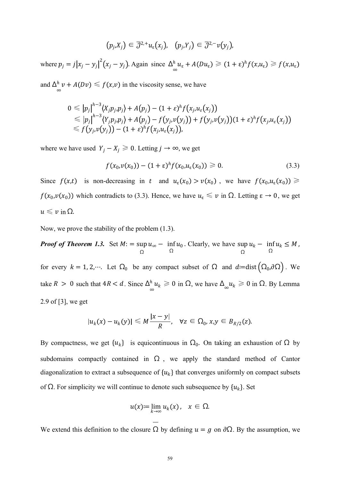$$
\big(p_j.X_j\big)\in\overline{{\cal J}}^{2,+}u_\varepsilon(x_j),\ \ \, \big(p_j.Y_j\big)\in\overline{{\cal J}}^{2,-}\nu\big(y_j\big),
$$

where  $p_j = j|x_j - y_j|^2 (x_j - y_j)$ . Again since  $\Delta_{\infty}^h u_{\epsilon} + A(Du_{\epsilon}) \ge (1 + \epsilon)^h f(x, u_{\epsilon}) \ge f(x, u_{\epsilon})$ 

and  $\Delta_{\infty}^{h}$   $\nu + A(D\nu) \leq f(x,\nu)$  in the viscosity sense, we have

$$
0 \leqslant |p_j|^{h-3} \langle X_j p_j, p_j \rangle + A(p_j) - (1+\varepsilon)^h f(x_j, u_\varepsilon(x_j))
$$
  
\n
$$
\leqslant |p_j|^{h-3} \langle Y_j p_j, p_j \rangle + A(p_j) - f(y_j, v(y_j)) + f(y_j, v(y_j)) (1+\varepsilon)^h f(x_j, u_\varepsilon(x_j))
$$
  
\n
$$
\leqslant f(y_j, v(y_j)) - (1+\varepsilon)^h f(x_j, u_\varepsilon(x_j)),
$$

where we have used  $Y_j - X_j \ge 0$ . Letting  $j \to \infty$ , we get

$$
f(x_0, v(x_0)) - (1 + \varepsilon)^h f(x_0, u_\varepsilon(x_0)) \ge 0. \tag{3.3}
$$

Since  $f(x,t)$  is non-decreasing in t and  $u_{\varepsilon}(x_0) > v(x_0)$ , we have  $f(x_0, u_{\varepsilon}(x_0)) \ge$  $f(x_0, v(x_0))$  which contradicts to (3.3). Hence, we have  $u_\varepsilon \leq v$  in  $\Omega$ . Letting  $\varepsilon \to 0$ , we get  $u \leq v$  in  $\Omega$ .

Now, we prove the stability of the problem (1.3).

*Proof of Theorem 1.3.* Set  $M$ : = sup  $u_{\infty}$  – inf $u_0$ . Clearly, we hav  $\Omega$   $\Omega$  $u_{\infty}$  – inf  $u_0$ . Clearly, we have  $\sup_{\Omega} u_k$  – inf  $u_k \leq M$ ,  $\Omega$   $\Omega$  $u_k - \inf_{\Omega} u_k \leq M$ , for every  $k = 1, 2, \dots$ . Let  $\Omega_0$  be any compact subset of  $\Omega$  and  $d:=dist(\Omega_0, \partial \Omega)$ . We take  $R > 0$  such that  $4R < d$ . Since  $\Delta_{\infty}^{h} u_k \ge 0$  in  $\Omega$ , we have  $\Delta_{\infty} u_k \ge 0$  in  $\Omega$ . By Lemma 2.9 of [3], we get

$$
|u_k(x)-u_k(y)| \leq M \frac{|x-y|}{R}, \quad \forall z \in \Omega_0, x,y \in B_{R/2}(z).
$$

By compactness, we get  $\{u_k\}$  is equicontinuous in  $\Omega_0$ . On taking an exhaustion of  $\Omega$  by subdomains compactly contained in  $\Omega$ , we apply the standard method of Cantor diagonalization to extract a subsequence of  $\{u_k\}$  that converges uniformly on compact subsets of  $\Omega$ . For simplicity we will continue to denote such subsequence by  $\{u_k\}$ . Set

$$
u(x) := \lim_{k \to \infty} u_k(x), \quad x \in \Omega.
$$

We extend this definition to the closure  $\Omega$  by defining  $u = g$  on  $\partial\Omega$ . By the assumption, we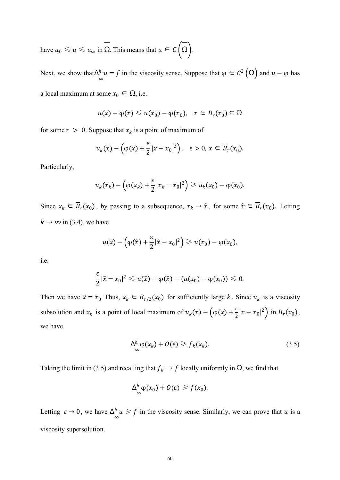have  $u_0 \le u \le u_\infty$  in  $\overline{\Omega}$ . This means that  $u \in C(\overline{\Omega})$ .

Next, we show that  $\Delta_{\infty}^{h} u = f$  in the viscosity sense. Suppose that  $\varphi \in C^{2}(\Omega)$  and  $u - \varphi$  has a local maximum at some  $x_0 \in \Omega$ , i.e.

$$
u(x) - \varphi(x) \leq u(x_0) - \varphi(x_0), \quad x \in B_r(x_0) \subseteq \Omega
$$

for some  $r > 0$ . Suppose that  $x_k$  is a point of maximum of

$$
u_k(x) - \left(\varphi(x) + \frac{\varepsilon}{2}|x - x_0|^2\right), \quad \varepsilon > 0, x \in \overline{B}_r(x_0).
$$

Particularly,

$$
u_k(x_k)-\left(\varphi(x_k)+\frac{\varepsilon}{2}|x_k-x_0|^2\right)\geq u_k(x_0)-\varphi(x_0).
$$

Since  $x_k \in \overline{B}_r(x_0)$ , by passing to a subsequence,  $x_k \to \hat{x}$ , for some  $\hat{x} \in \overline{B}_r(x_0)$ . Letting  $k \to \infty$  in (3.4), we have

$$
u(\hat{x}) - (\varphi(\hat{x}) + \frac{\varepsilon}{2}|\hat{x} - x_0|^2) \geq u(x_0) - \varphi(x_0),
$$

i.e.

$$
\frac{\varepsilon}{2}|\hat{x}-x_0|^2\leq u(\hat{x})-\varphi(\hat{x})-(u(x_0)-\varphi(x_0))\leqslant 0.
$$

Then we have  $\hat{x} = x_0$  Thus,  $x_k \in B_{r/2}(x_0)$  for sufficiently large k. Since  $u_k$  is a viscosity subsolution and  $x_k$  is a point of local maximum of  $u_k(x) - (\varphi(x) + \frac{\varepsilon}{2}|x - x_0|^2)$  in  $B_r(x_0)$ , we have

$$
\Delta_{\infty}^{h} \varphi(x_k) + O(\varepsilon) \geq f_k(x_k). \tag{3.5}
$$

Taking the limit in (3.5) and recalling that  $f_k \to f$  locally uniformly in  $\Omega$ , we find that

$$
\Delta_{\infty}^h \varphi(x_0) + O(\varepsilon) \geq f(x_0).
$$

Letting  $\varepsilon \to 0$ , we have  $\Delta_{\infty}^h u \geq f$  in the viscosity sense. Similarly, we can prove that  $u$  is a viscosity supersolution.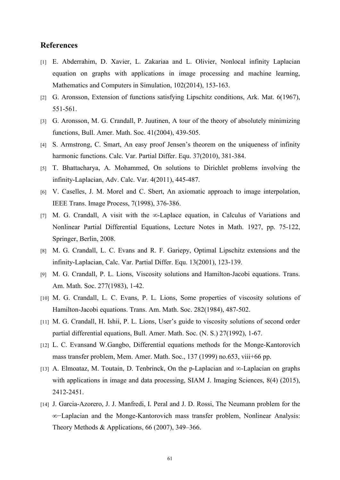## **References**

- [1] E. Abderrahim, D. Xavier, L. Zakariaa and L. Olivier, Nonlocal infinity Laplacian equation on graphs with applications in image processing and machine learning, Mathematics and Computers in Simulation, 102(2014), 153-163.
- [2] G. Aronsson, Extension of functions satisfying Lipschitz conditions, Ark. Mat. 6(1967), 551-561.
- [3] G. Aronsson, M. G. Crandall, P. Juutinen, A tour of the theory of absolutely minimizing functions, Bull. Amer. Math. Soc. 41(2004), 439-505.
- [4] S. Armstrong, C. Smart, An easy proof Jensen's theorem on the uniqueness of infinity harmonic functions. Calc. Var. Partial Differ. Equ. 37(2010), 381-384.
- [5] T. Bhattacharya, A. Mohammed, On solutions to Dirichlet problems involving the infinity-Laplacian, Adv. Calc. Var. 4(2011), 445-487.
- [6] V. Caselles, J. M. Morel and C. Sbert, An axiomatic approach to image interpolation, IEEE Trans. Image Process, 7(1998), 376-386.
- [7] M. G. Crandall, A visit with the ∞-Laplace equation, in Calculus of Variations and Nonlinear Partial Differential Equations, Lecture Notes in Math. 1927, pp. 75-122, Springer, Berlin, 2008.
- [8] M. G. Crandall, L. C. Evans and R. F. Gariepy, Optimal Lipschitz extensions and the infinity-Laplacian, Calc. Var. Partial Differ. Equ. 13(2001), 123-139.
- [9] M. G. Crandall, P. L. Lions, Viscosity solutions and Hamilton-Jacobi equations. Trans. Am. Math. Soc. 277(1983), 1-42.
- [10] M. G. Crandall, L. C. Evans, P. L. Lions, Some properties of viscosity solutions of Hamilton-Jacobi equations. Trans. Am. Math. Soc. 282(1984), 487-502.
- [11] M. G. Crandall, H. Ishii, P. L. Lions, User's guide to viscosity solutions of second order partial differential equations, Bull. Amer. Math. Soc. (N. S.) 27(1992), 1-67.
- [12] L. C. Evansand W.Gangbo, Differential equations methods for the Monge-Kantorovich mass transfer problem, Mem. Amer. Math. Soc., 137 (1999) no.653, viii+66 pp.
- [13] A. Elmoataz, M. Toutain, D. Tenbrinck, On the p-Laplacian and ∞-Laplacian on graphs with applications in image and data processing, SIAM J. Imaging Sciences, 8(4) (2015), 2412-2451.
- [14] J. Garcia-Azorero, J. J. Manfredi, I. Peral and J. D. Rossi, The Neumann problem for the ∞−Laplacian and the Monge-Kantorovich mass transfer problem, Nonlinear Analysis: Theory Methods & Applications,  $66$  (2007), 349–366.